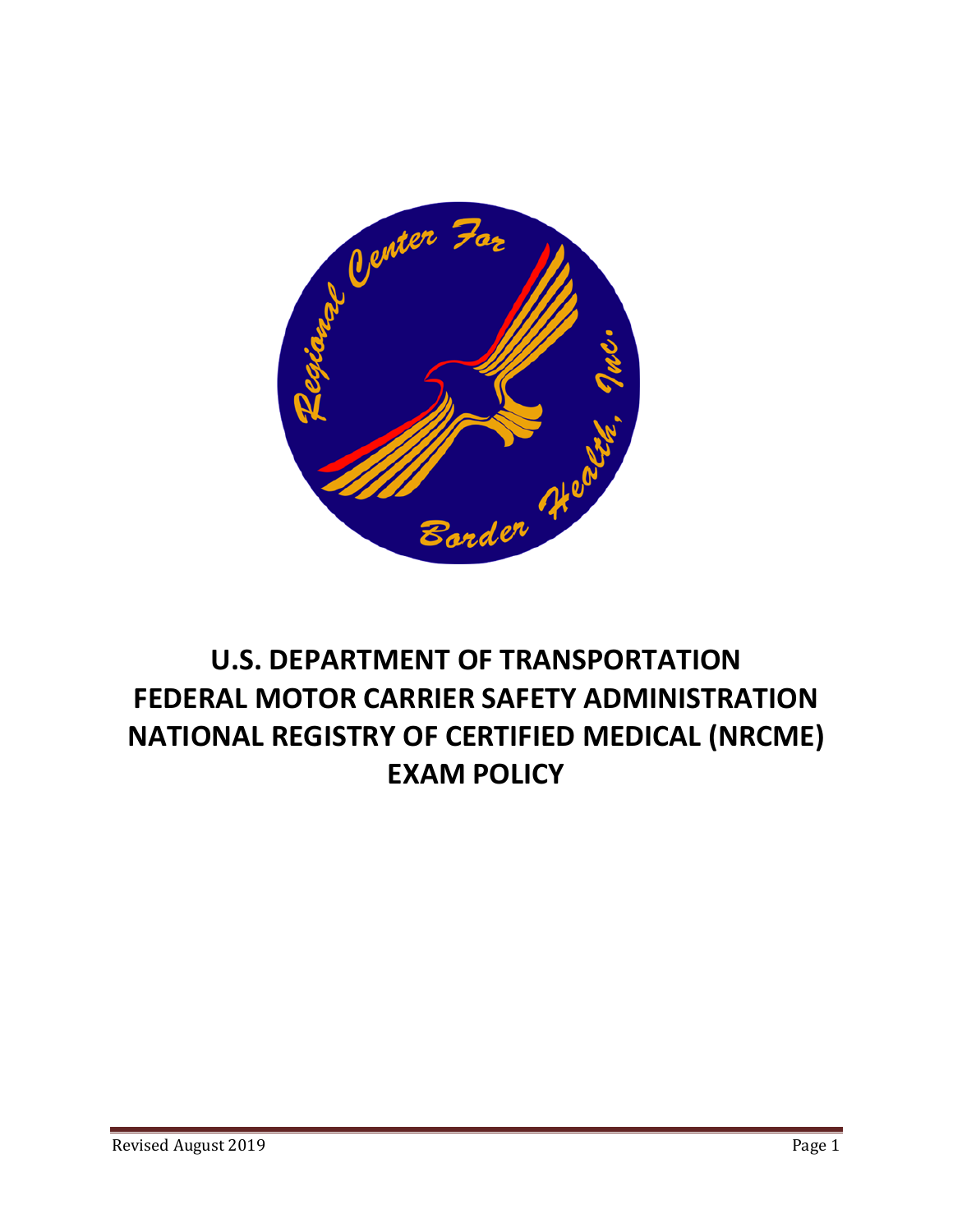

# **U.S. DEPARTMENT OF TRANSPORTATION FEDERAL MOTOR CARRIER SAFETY ADMINISTRATION NATIONAL REGISTRY OF CERTIFIED MEDICAL (NRCME) EXAM POLICY**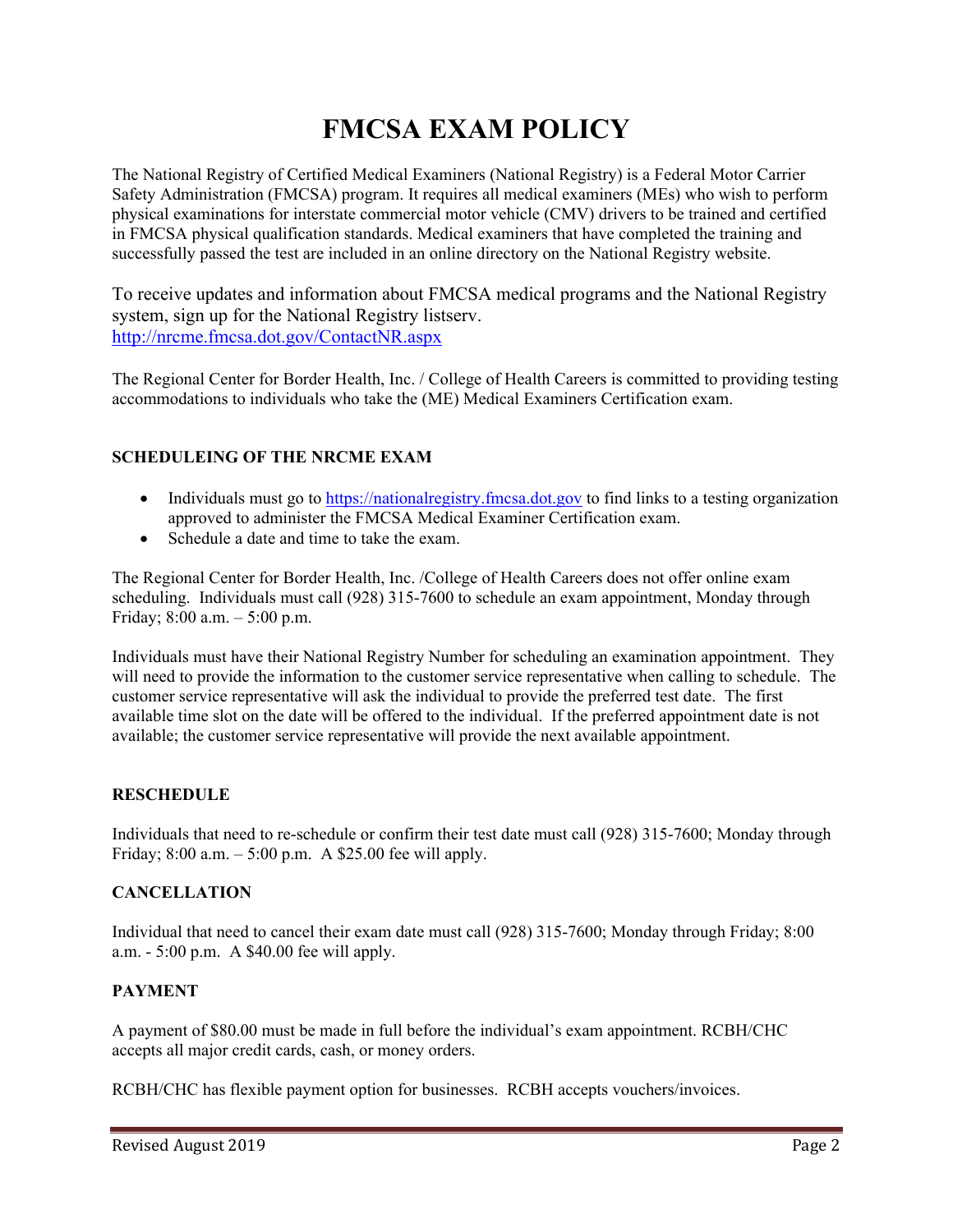# **FMCSA EXAM POLICY**

The National Registry of Certified Medical Examiners (National Registry) is a Federal Motor Carrier Safety Administration (FMCSA) program. It requires all medical examiners (MEs) who wish to perform physical examinations for interstate commercial motor vehicle (CMV) drivers to be trained and certified in FMCSA physical qualification standards. Medical examiners that have completed the training and successfully passed the test are included in an online directory on the National Registry website.

To receive updates and information about FMCSA medical programs and the National Registry system, sign up for the National Registry listserv. http://nrcme.fmcsa.dot.gov/ContactNR.aspx

The Regional Center for Border Health, Inc. / College of Health Careers is committed to providing testing accommodations to individuals who take the (ME) Medical Examiners Certification exam.

# **SCHEDULEING OF THE NRCME EXAM**

- Individuals must go to https://nationalregistry.fmcsa.dot.gov to find links to a testing organization approved to administer the FMCSA Medical Examiner Certification exam.
- Schedule a date and time to take the exam.

The Regional Center for Border Health, Inc. /College of Health Careers does not offer online exam scheduling. Individuals must call (928) 315-7600 to schedule an exam appointment, Monday through Friday; 8:00 a.m. – 5:00 p.m.

Individuals must have their National Registry Number for scheduling an examination appointment. They will need to provide the information to the customer service representative when calling to schedule. The customer service representative will ask the individual to provide the preferred test date. The first available time slot on the date will be offered to the individual. If the preferred appointment date is not available; the customer service representative will provide the next available appointment.

#### **RESCHEDULE**

Individuals that need to re-schedule or confirm their test date must call (928) 315-7600; Monday through Friday;  $8:00$  a.m.  $-5:00$  p.m. A \$25.00 fee will apply.

#### **CANCELLATION**

Individual that need to cancel their exam date must call (928) 315-7600; Monday through Friday; 8:00 a.m. - 5:00 p.m. A \$40.00 fee will apply.

#### **PAYMENT**

A payment of \$80.00 must be made in full before the individual's exam appointment. RCBH/CHC accepts all major credit cards, cash, or money orders.

RCBH/CHC has flexible payment option for businesses. RCBH accepts vouchers/invoices.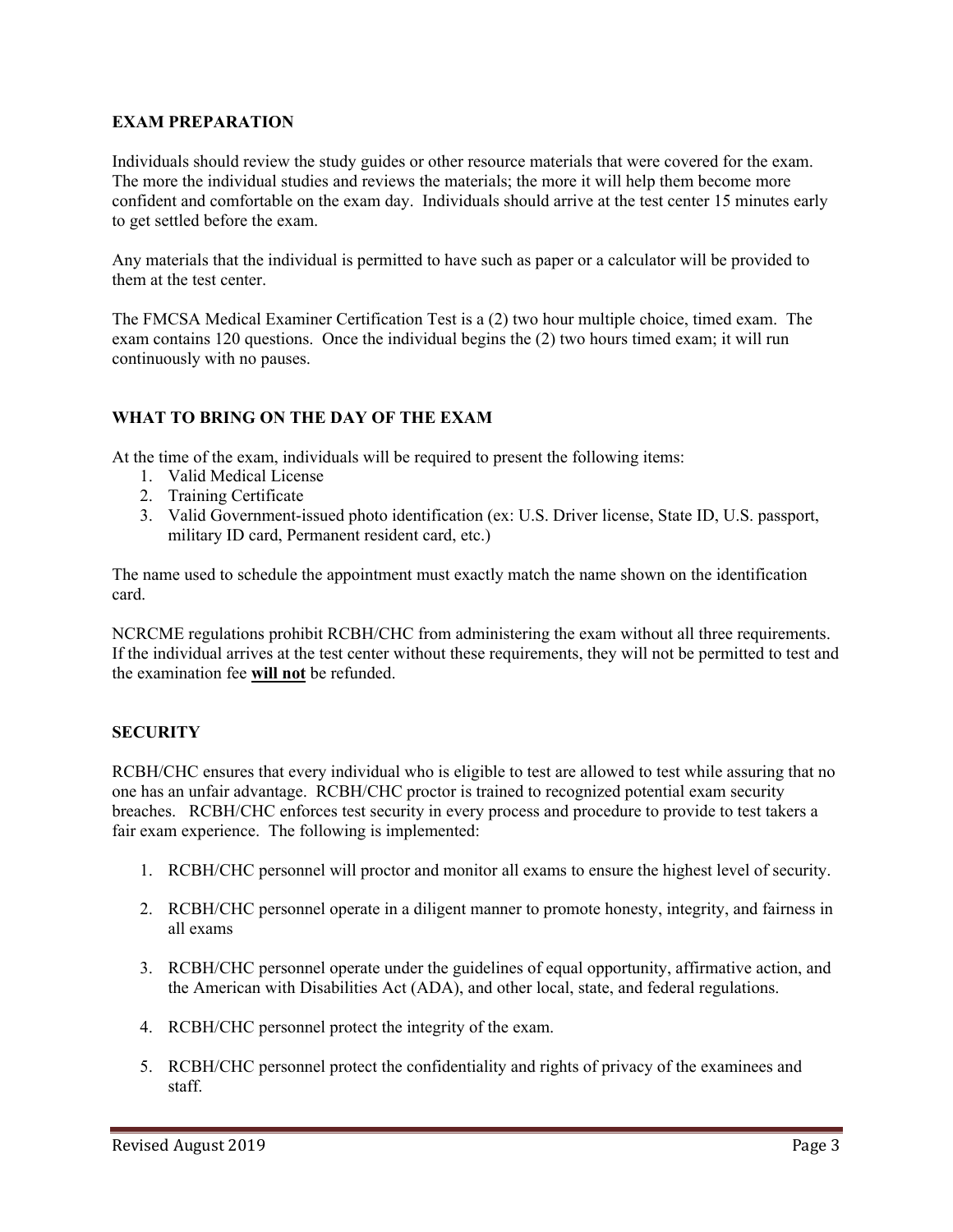### **EXAM PREPARATION**

Individuals should review the study guides or other resource materials that were covered for the exam. The more the individual studies and reviews the materials; the more it will help them become more confident and comfortable on the exam day. Individuals should arrive at the test center 15 minutes early to get settled before the exam.

Any materials that the individual is permitted to have such as paper or a calculator will be provided to them at the test center.

The FMCSA Medical Examiner Certification Test is a (2) two hour multiple choice, timed exam. The exam contains 120 questions. Once the individual begins the (2) two hours timed exam; it will run continuously with no pauses.

### **WHAT TO BRING ON THE DAY OF THE EXAM**

At the time of the exam, individuals will be required to present the following items:

- 1. Valid Medical License
- 2. Training Certificate
- 3. Valid Government-issued photo identification (ex: U.S. Driver license, State ID, U.S. passport, military ID card, Permanent resident card, etc.)

The name used to schedule the appointment must exactly match the name shown on the identification card.

NCRCME regulations prohibit RCBH/CHC from administering the exam without all three requirements. If the individual arrives at the test center without these requirements, they will not be permitted to test and the examination fee **will not** be refunded.

#### **SECURITY**

RCBH/CHC ensures that every individual who is eligible to test are allowed to test while assuring that no one has an unfair advantage. RCBH/CHC proctor is trained to recognized potential exam security breaches. RCBH/CHC enforces test security in every process and procedure to provide to test takers a fair exam experience. The following is implemented:

- 1. RCBH/CHC personnel will proctor and monitor all exams to ensure the highest level of security.
- 2. RCBH/CHC personnel operate in a diligent manner to promote honesty, integrity, and fairness in all exams
- 3. RCBH/CHC personnel operate under the guidelines of equal opportunity, affirmative action, and the American with Disabilities Act (ADA), and other local, state, and federal regulations.
- 4. RCBH/CHC personnel protect the integrity of the exam.
- 5. RCBH/CHC personnel protect the confidentiality and rights of privacy of the examinees and staff.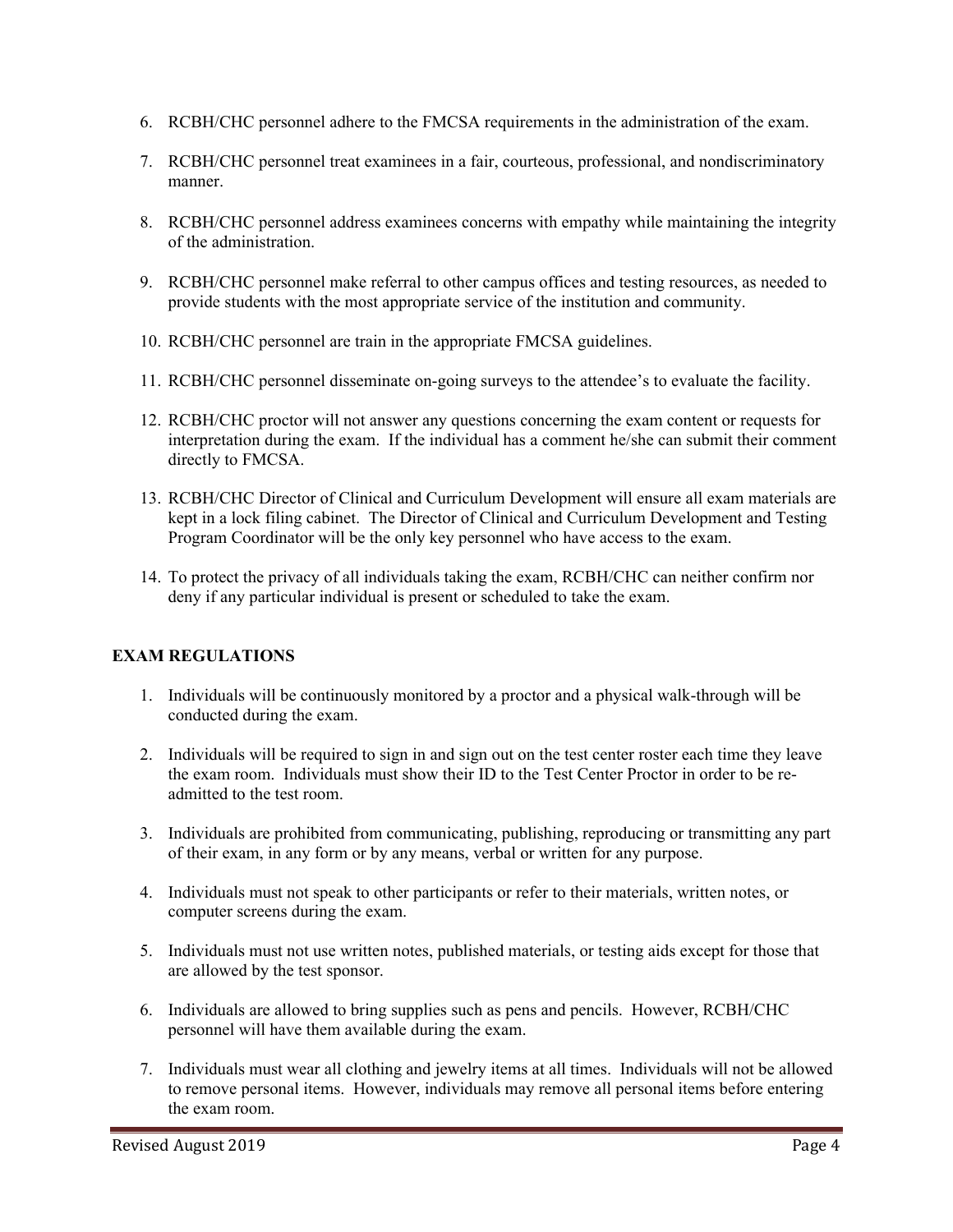- 6. RCBH/CHC personnel adhere to the FMCSA requirements in the administration of the exam.
- 7. RCBH/CHC personnel treat examinees in a fair, courteous, professional, and nondiscriminatory manner.
- 8. RCBH/CHC personnel address examinees concerns with empathy while maintaining the integrity of the administration.
- 9. RCBH/CHC personnel make referral to other campus offices and testing resources, as needed to provide students with the most appropriate service of the institution and community.
- 10. RCBH/CHC personnel are train in the appropriate FMCSA guidelines.
- 11. RCBH/CHC personnel disseminate on-going surveys to the attendee's to evaluate the facility.
- 12. RCBH/CHC proctor will not answer any questions concerning the exam content or requests for interpretation during the exam. If the individual has a comment he/she can submit their comment directly to FMCSA.
- 13. RCBH/CHC Director of Clinical and Curriculum Development will ensure all exam materials are kept in a lock filing cabinet. The Director of Clinical and Curriculum Development and Testing Program Coordinator will be the only key personnel who have access to the exam.
- 14. To protect the privacy of all individuals taking the exam, RCBH/CHC can neither confirm nor deny if any particular individual is present or scheduled to take the exam.

# **EXAM REGULATIONS**

- 1. Individuals will be continuously monitored by a proctor and a physical walk-through will be conducted during the exam.
- 2. Individuals will be required to sign in and sign out on the test center roster each time they leave the exam room. Individuals must show their ID to the Test Center Proctor in order to be readmitted to the test room.
- 3. Individuals are prohibited from communicating, publishing, reproducing or transmitting any part of their exam, in any form or by any means, verbal or written for any purpose.
- 4. Individuals must not speak to other participants or refer to their materials, written notes, or computer screens during the exam.
- 5. Individuals must not use written notes, published materials, or testing aids except for those that are allowed by the test sponsor.
- 6. Individuals are allowed to bring supplies such as pens and pencils. However, RCBH/CHC personnel will have them available during the exam.
- 7. Individuals must wear all clothing and jewelry items at all times. Individuals will not be allowed to remove personal items. However, individuals may remove all personal items before entering the exam room.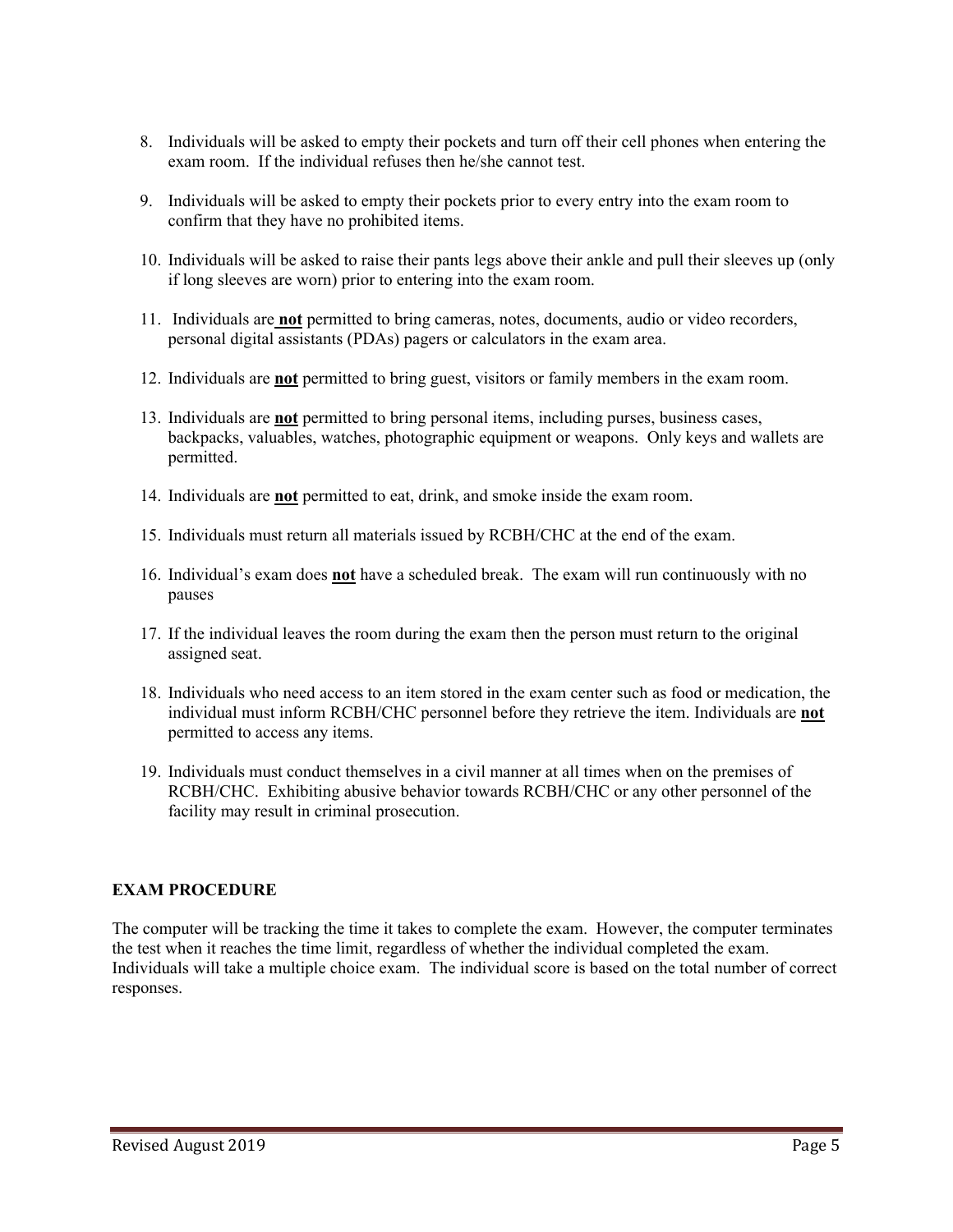- 8. Individuals will be asked to empty their pockets and turn off their cell phones when entering the exam room. If the individual refuses then he/she cannot test.
- 9. Individuals will be asked to empty their pockets prior to every entry into the exam room to confirm that they have no prohibited items.
- 10. Individuals will be asked to raise their pants legs above their ankle and pull their sleeves up (only if long sleeves are worn) prior to entering into the exam room.
- 11. Individuals are **not** permitted to bring cameras, notes, documents, audio or video recorders, personal digital assistants (PDAs) pagers or calculators in the exam area.
- 12. Individuals are **not** permitted to bring guest, visitors or family members in the exam room.
- 13. Individuals are **not** permitted to bring personal items, including purses, business cases, backpacks, valuables, watches, photographic equipment or weapons. Only keys and wallets are permitted.
- 14. Individuals are **not** permitted to eat, drink, and smoke inside the exam room.
- 15. Individuals must return all materials issued by RCBH/CHC at the end of the exam.
- 16. Individual's exam does **not** have a scheduled break. The exam will run continuously with no pauses
- 17. If the individual leaves the room during the exam then the person must return to the original assigned seat.
- 18. Individuals who need access to an item stored in the exam center such as food or medication, the individual must inform RCBH/CHC personnel before they retrieve the item. Individuals are **not** permitted to access any items.
- 19. Individuals must conduct themselves in a civil manner at all times when on the premises of RCBH/CHC. Exhibiting abusive behavior towards RCBH/CHC or any other personnel of the facility may result in criminal prosecution.

# **EXAM PROCEDURE**

The computer will be tracking the time it takes to complete the exam. However, the computer terminates the test when it reaches the time limit, regardless of whether the individual completed the exam. Individuals will take a multiple choice exam. The individual score is based on the total number of correct responses.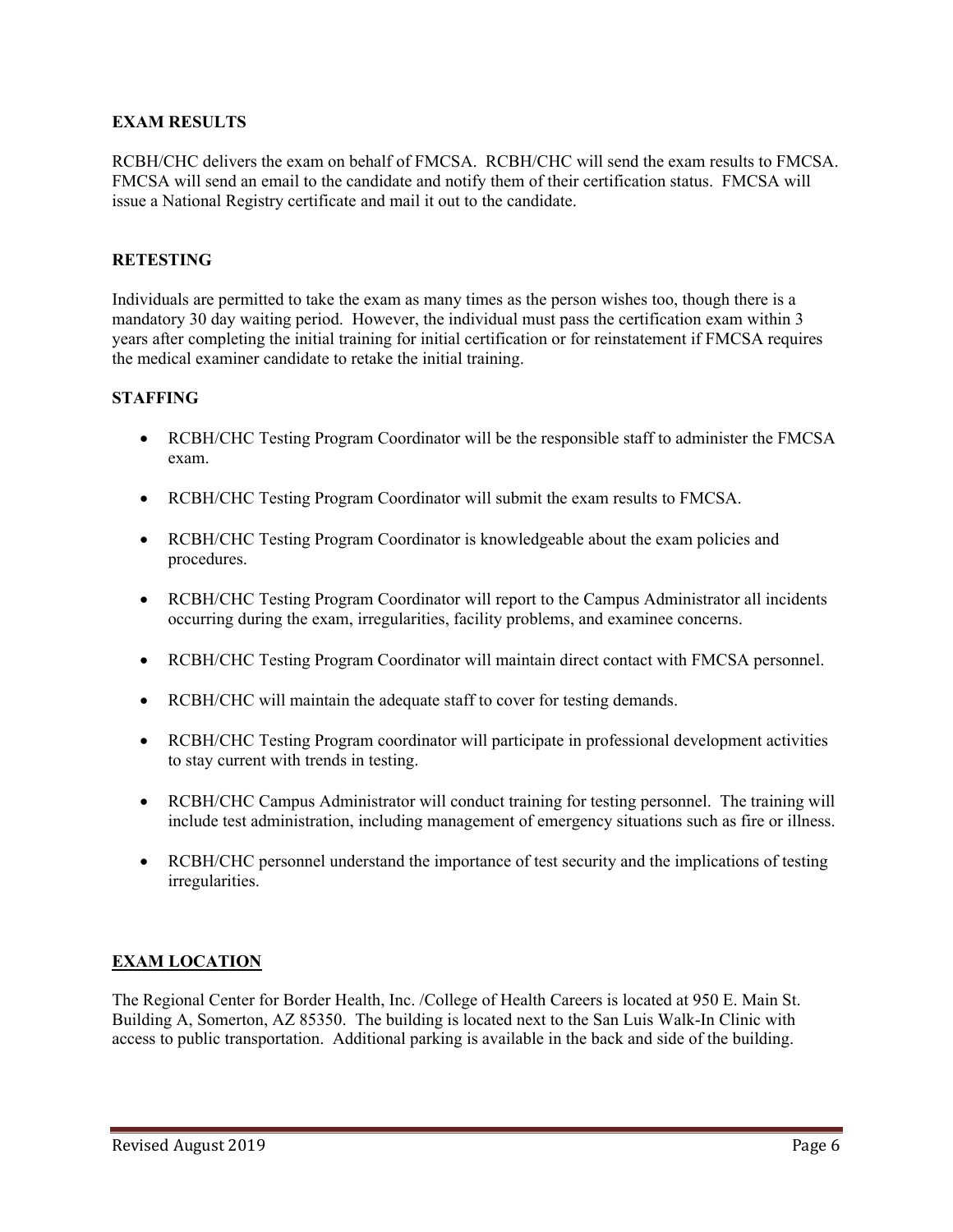# **EXAM RESULTS**

RCBH/CHC delivers the exam on behalf of FMCSA. RCBH/CHC will send the exam results to FMCSA. FMCSA will send an email to the candidate and notify them of their certification status. FMCSA will issue a National Registry certificate and mail it out to the candidate.

### **RETESTING**

Individuals are permitted to take the exam as many times as the person wishes too, though there is a mandatory 30 day waiting period. However, the individual must pass the certification exam within 3 years after completing the initial training for initial certification or for reinstatement if FMCSA requires the medical examiner candidate to retake the initial training.

### **STAFFING**

- RCBH/CHC Testing Program Coordinator will be the responsible staff to administer the FMCSA exam.
- RCBH/CHC Testing Program Coordinator will submit the exam results to FMCSA.
- RCBH/CHC Testing Program Coordinator is knowledgeable about the exam policies and procedures.
- RCBH/CHC Testing Program Coordinator will report to the Campus Administrator all incidents occurring during the exam, irregularities, facility problems, and examinee concerns.
- RCBH/CHC Testing Program Coordinator will maintain direct contact with FMCSA personnel.
- RCBH/CHC will maintain the adequate staff to cover for testing demands.
- RCBH/CHC Testing Program coordinator will participate in professional development activities to stay current with trends in testing.
- RCBH/CHC Campus Administrator will conduct training for testing personnel. The training will include test administration, including management of emergency situations such as fire or illness.
- RCBH/CHC personnel understand the importance of test security and the implications of testing irregularities.

# **EXAM LOCATION**

The Regional Center for Border Health, Inc. /College of Health Careers is located at 950 E. Main St. Building A, Somerton, AZ 85350. The building is located next to the San Luis Walk-In Clinic with access to public transportation. Additional parking is available in the back and side of the building.